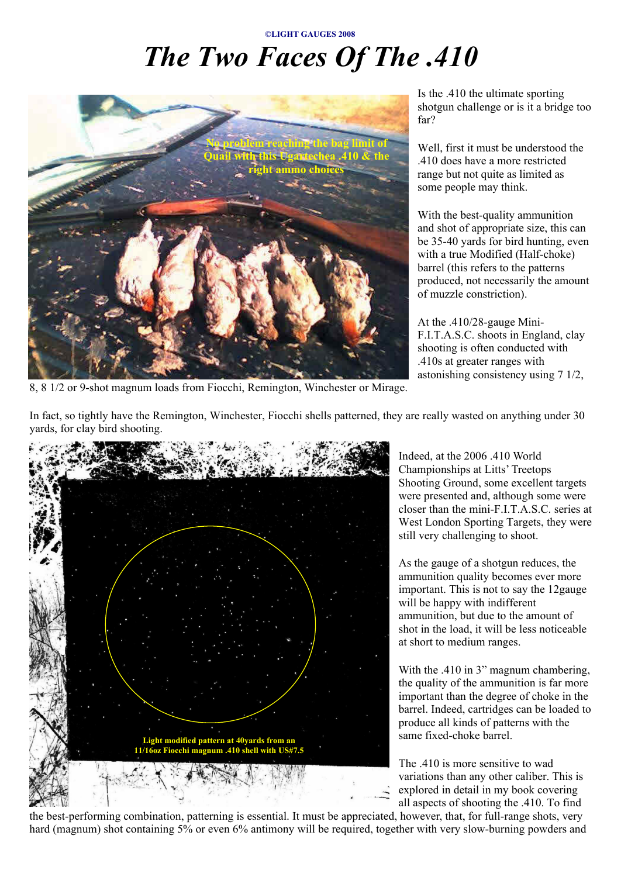## **©LIGHT GAUGES 2008** *The Two Faces Of The .410*



8, 8 1/2 or 9-shot magnum loads from Fiocchi, Remington, Winchester or Mirage.

Is the .410 the ultimate sporting shotgun challenge or is it a bridge too far?

Well, first it must be understood the .410 does have a more restricted range but not quite as limited as some people may think.

With the best-quality ammunition and shot of appropriate size, this can be 35-40 yards for bird hunting, even with a true Modified (Half-choke) barrel (this refers to the patterns produced, not necessarily the amount of muzzle constriction).

At the .410/28-gauge Mini-F.I.T.A.S.C. shoots in England, clay shooting is often conducted with .410s at greater ranges with astonishing consistency using 7 1/2,

In fact, so tightly have the Remington, Winchester, Fiocchi shells patterned, they are really wasted on anything under 30 yards, for clay bird shooting.



Indeed, at the 2006 .410 World Championships at Litts' Treetops Shooting Ground, some excellent targets were presented and, although some were closer than the mini-F.I.T.A.S.C. series at West London Sporting Targets, they were still very challenging to shoot.

As the gauge of a shotgun reduces, the ammunition quality becomes ever more important. This is not to say the 12gauge will be happy with indifferent ammunition, but due to the amount of shot in the load, it will be less noticeable at short to medium ranges.

With the .410 in 3" magnum chambering, the quality of the ammunition is far more important than the degree of choke in the barrel. Indeed, cartridges can be loaded to produce all kinds of patterns with the same fixed-choke barrel.

The .410 is more sensitive to wad variations than any other caliber. This is explored in detail in my book covering all aspects of shooting the .410. To find

the best-performing combination, patterning is essential. It must be appreciated, however, that, for full-range shots, very hard (magnum) shot containing 5% or even 6% antimony will be required, together with very slow-burning powders and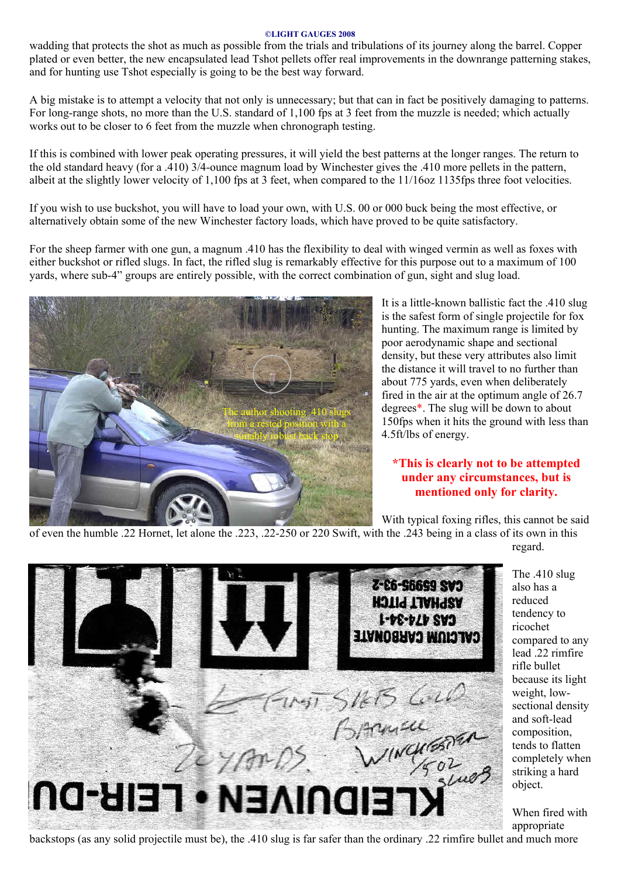## **©LIGHT GAUGES 2008**

wadding that protects the shot as much as possible from the trials and tribulations of its journey along the barrel. Copper plated or even better, the new encapsulated lead Tshot pellets offer real improvements in the downrange patterning stakes, and for hunting use Tshot especially is going to be the best way forward.

A big mistake is to attempt a velocity that not only is unnecessary; but that can in fact be positively damaging to patterns. For long-range shots, no more than the U.S. standard of 1,100 fps at 3 feet from the muzzle is needed; which actually works out to be closer to 6 feet from the muzzle when chronograph testing.

If this is combined with lower peak operating pressures, it will yield the best patterns at the longer ranges. The return to the old standard heavy (for a .410) 3/4-ounce magnum load by Winchester gives the .410 more pellets in the pattern, albeit at the slightly lower velocity of 1,100 fps at 3 feet, when compared to the 11/16oz 1135fps three foot velocities.

If you wish to use buckshot, you will have to load your own, with U.S. 00 or 000 buck being the most effective, or alternatively obtain some of the new Winchester factory loads, which have proved to be quite satisfactory.

For the sheep farmer with one gun, a magnum .410 has the flexibility to deal with winged vermin as well as foxes with either buckshot or rifled slugs. In fact, the rifled slug is remarkably effective for this purpose out to a maximum of 100 yards, where sub-4" groups are entirely possible, with the correct combination of gun, sight and slug load.



It is a little-known ballistic fact the .410 slug is the safest form of single projectile for fox hunting. The maximum range is limited by poor aerodynamic shape and sectional density, but these very attributes also limit the distance it will travel to no further than about 775 yards, even when deliberately fired in the air at the optimum angle of 26.7 degrees\*. The slug will be down to about 150fps when it hits the ground with less than 4.5ft/lbs of energy.

## **\*This is clearly not to be attempted under any circumstances, but is mentioned only for clarity.**

With typical foxing rifles, this cannot be said

of even the humble .22 Hornet, let alone the .223, .22-250 or 220 Swift, with the .243 being in a class of its own in this regard.



The .410 slug also has a reduced tendency to ricochet compared to any lead .22 rimfire rifle bullet because its light weight, lowsectional density and soft-lead composition, tends to flatten completely when striking a hard object.

When fired with appropriate

backstops (as any solid projectile must be), the .410 slug is far safer than the ordinary .22 rimfire bullet and much more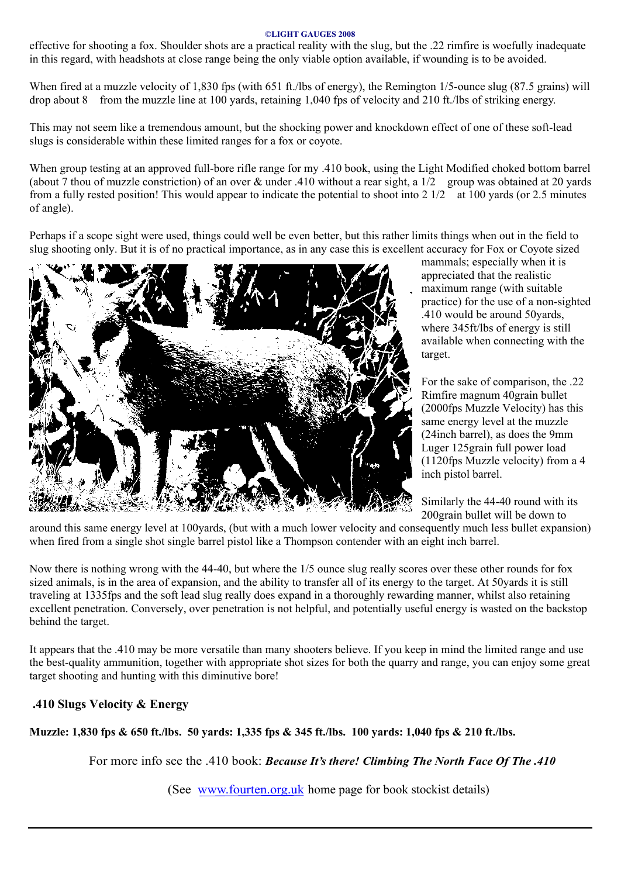## **©LIGHT GAUGES 2008**

effective for shooting a fox. Shoulder shots are a practical reality with the slug, but the .22 rimfire is woefully inadequate in this regard, with headshots at close range being the only viable option available, if wounding is to be avoided.

When fired at a muzzle velocity of 1,830 fps (with 651 ft./lbs of energy), the Remington 1/5-ounce slug (87.5 grains) will drop about 8 from the muzzle line at 100 yards, retaining 1,040 fps of velocity and 210 ft./lbs of striking energy.

This may not seem like a tremendous amount, but the shocking power and knockdown effect of one of these soft-lead slugs is considerable within these limited ranges for a fox or coyote.

When group testing at an approved full-bore rifle range for my .410 book, using the Light Modified choked bottom barrel (about 7 thou of muzzle constriction) of an over & under .410 without a rear sight, a 1/2 group was obtained at 20 yards from a fully rested position! This would appear to indicate the potential to shoot into  $2 \frac{1}{2}$  at 100 yards (or 2.5 minutes of angle).

Perhaps if a scope sight were used, things could well be even better, but this rather limits things when out in the field to slug shooting only. But it is of no practical importance, as in any case this is excellent accuracy for Fox or Coyote sized



mammals; especially when it is appreciated that the realistic maximum range (with suitable practice) for the use of a non-sighted .410 would be around 50yards, where 345ft/lbs of energy is still available when connecting with the target.

For the sake of comparison, the .22 Rimfire magnum 40grain bullet (2000fps Muzzle Velocity) has this same energy level at the muzzle (24inch barrel), as does the 9mm Luger 125grain full power load (1120fps Muzzle velocity) from a 4 inch pistol barrel.

Similarly the 44-40 round with its 200grain bullet will be down to

around this same energy level at 100yards, (but with a much lower velocity and consequently much less bullet expansion) when fired from a single shot single barrel pistol like a Thompson contender with an eight inch barrel.

Now there is nothing wrong with the 44-40, but where the 1/5 ounce slug really scores over these other rounds for fox sized animals, is in the area of expansion, and the ability to transfer all of its energy to the target. At 50yards it is still traveling at 1335fps and the soft lead slug really does expand in a thoroughly rewarding manner, whilst also retaining excellent penetration. Conversely, over penetration is not helpful, and potentially useful energy is wasted on the backstop behind the target.

It appears that the .410 may be more versatile than many shooters believe. If you keep in mind the limited range and use the best-quality ammunition, together with appropriate shot sizes for both the quarry and range, you can enjoy some great target shooting and hunting with this diminutive bore!

**.410 Slugs Velocity & Energy**

**Muzzle: 1,830 fps & 650 ft./lbs. 50 yards: 1,335 fps & 345 ft./lbs. 100 yards: 1,040 fps & 210 ft./lbs.**

For more info see the .410 book: *Because It's there! Climbing The North Face Of The .410*

(See www.fourten.org.uk home page for book stockist details)